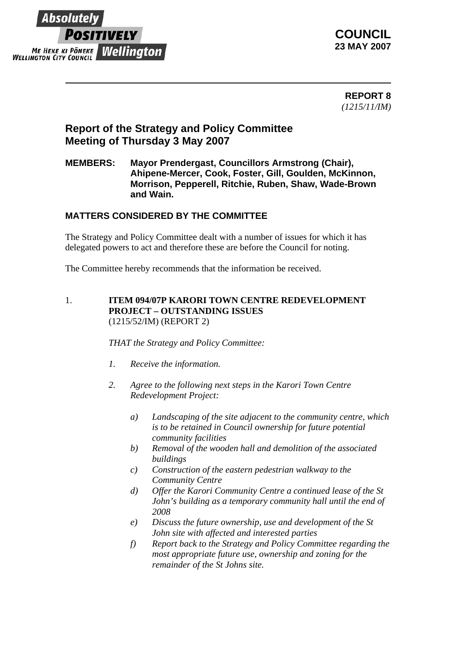

**COUNCIL 23 MAY 2007** 

 **REPORT 8** *(1215/11/IM)*

# **Report of the Strategy and Policy Committee Meeting of Thursday 3 May 2007**

### **MEMBERS: Mayor Prendergast, Councillors Armstrong (Chair), Ahipene-Mercer, Cook, Foster, Gill, Goulden, McKinnon, Morrison, Pepperell, Ritchie, Ruben, Shaw, Wade-Brown and Wain.**

## **MATTERS CONSIDERED BY THE COMMITTEE**

The Strategy and Policy Committee dealt with a number of issues for which it has delegated powers to act and therefore these are before the Council for noting.

The Committee hereby recommends that the information be received.

#### 1. **ITEM 094/07P KARORI TOWN CENTRE REDEVELOPMENT PROJECT – OUTSTANDING ISSUES** (1215/52/IM) (REPORT 2)

*THAT the Strategy and Policy Committee:*

- *1. Receive the information.*
- *2. Agree to the following next steps in the Karori Town Centre Redevelopment Project:* 
	- *a) Landscaping of the site adjacent to the community centre, which is to be retained in Council ownership for future potential community facilities*
	- *b) Removal of the wooden hall and demolition of the associated buildings*
	- *c) Construction of the eastern pedestrian walkway to the Community Centre*
	- *d) Offer the Karori Community Centre a continued lease of the St John's building as a temporary community hall until the end of 2008*
	- *e) Discuss the future ownership, use and development of the St John site with affected and interested parties*
	- *f) Report back to the Strategy and Policy Committee regarding the most appropriate future use, ownership and zoning for the remainder of the St Johns site.*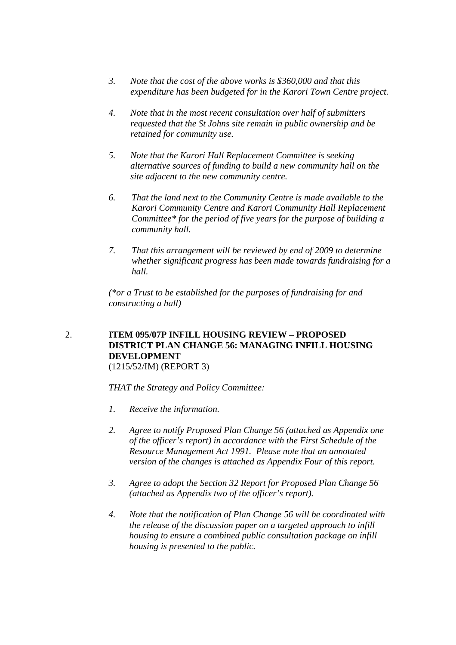- *3. Note that the cost of the above works is \$360,000 and that this expenditure has been budgeted for in the Karori Town Centre project.*
- *4. Note that in the most recent consultation over half of submitters requested that the St Johns site remain in public ownership and be retained for community use.*
- *5. Note that the Karori Hall Replacement Committee is seeking alternative sources of funding to build a new community hall on the site adjacent to the new community centre.*
- *6. That the land next to the Community Centre is made available to the Karori Community Centre and Karori Community Hall Replacement Committee\* for the period of five years for the purpose of building a community hall.*
- *7. That this arrangement will be reviewed by end of 2009 to determine whether significant progress has been made towards fundraising for a hall.*

*(\*or a Trust to be established for the purposes of fundraising for and constructing a hall)* 

## 2. **ITEM 095/07P INFILL HOUSING REVIEW – PROPOSED DISTRICT PLAN CHANGE 56: MANAGING INFILL HOUSING DEVELOPMENT**

(1215/52/IM) (REPORT 3)

*THAT the Strategy and Policy Committee:*

- *1. Receive the information.*
- *2. Agree to notify Proposed Plan Change 56 (attached as Appendix one of the officer's report) in accordance with the First Schedule of the Resource Management Act 1991. Please note that an annotated version of the changes is attached as Appendix Four of this report.*
- *3. Agree to adopt the Section 32 Report for Proposed Plan Change 56 (attached as Appendix two of the officer's report).*
- *4. Note that the notification of Plan Change 56 will be coordinated with the release of the discussion paper on a targeted approach to infill housing to ensure a combined public consultation package on infill housing is presented to the public.*